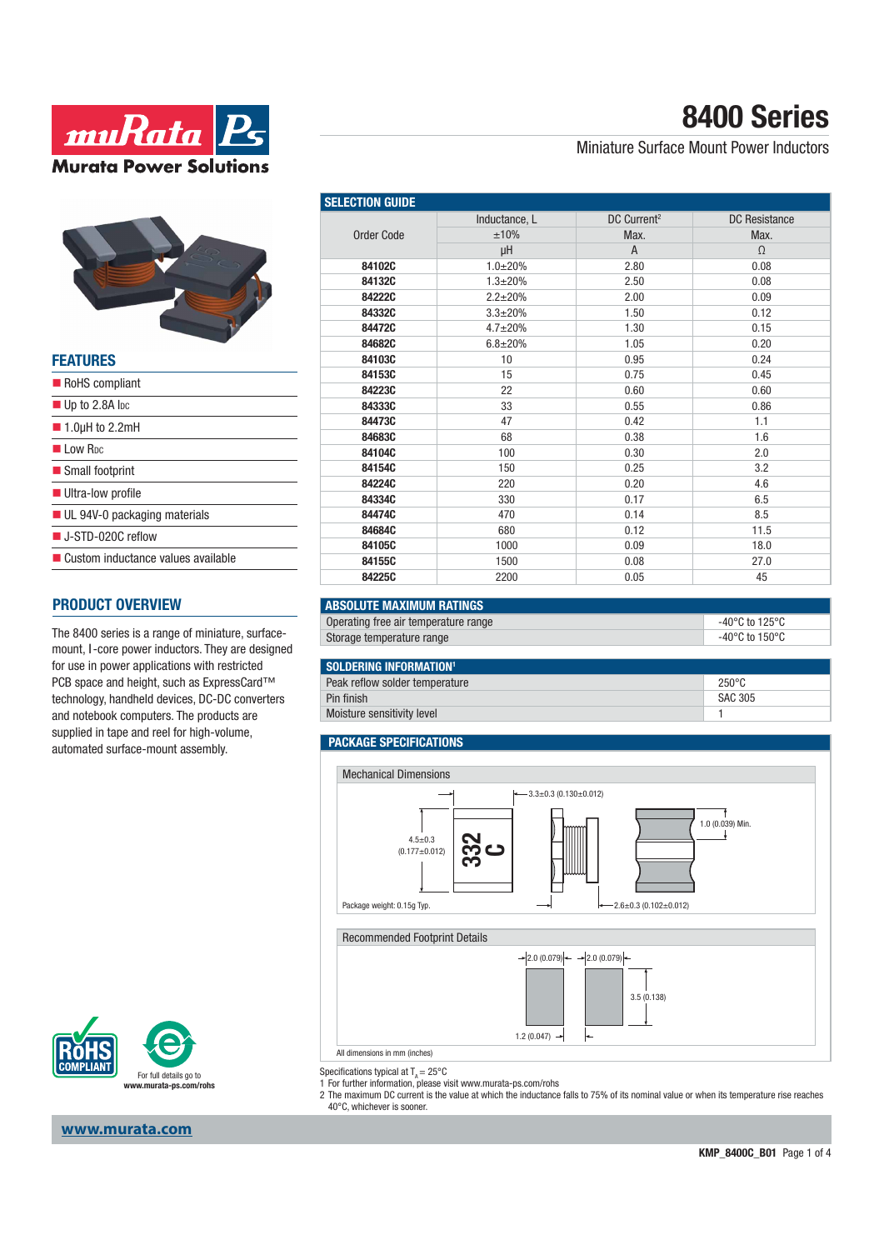



| <b>FEATURES</b>                             |
|---------------------------------------------|
| RoHS compliant                              |
| $\blacksquare$ Up to 2.8A loc               |
| $\blacksquare$ 1.0µH to 2.2mH               |
| $\blacksquare$ I ow R <sub>DC</sub>         |
| Small footprint                             |
| Ultra-low profile                           |
| $\blacksquare$ UL 94V-0 packaging materials |
| ■ J-STD-020C reflow                         |
| ■ Custom inductance values available        |
|                                             |

### **PRODUCT OVERVIEW**

The 8400 series is a range of miniature, surfacemount, I-core power inductors. They are designed for use in power applications with restricted PCB space and height, such as ExpressCard™ technology, handheld devices, DC-DC converters and notebook computers. The products are supplied in tape and reel for high-volume, automated surface-mount assembly.



**www.murata.com**

# **8400 Series**

### Miniature Surface Mount Power Inductors

| <b>SELECTION GUIDE</b> |                |                         |                      |  |
|------------------------|----------------|-------------------------|----------------------|--|
|                        | Inductance, L  | DC Current <sup>2</sup> | <b>DC</b> Resistance |  |
| Order Code             | ±10%           | Max.                    | Max.                 |  |
|                        | μH             | A                       | $\Omega$             |  |
| 84102C                 | $1.0 + 20%$    | 2.80                    | 0.08                 |  |
| 84132C                 | $1.3 + 20%$    | 2.50                    | 0.08                 |  |
| 84222C                 | $2.2 \pm 20\%$ | 2.00                    | 0.09                 |  |
| 84332C                 | $3.3 + 20%$    | 1.50                    | 0.12                 |  |
| 84472C                 | $4.7 + 20%$    | 1.30                    | 0.15                 |  |
| 84682C                 | $6.8 + 20%$    | 1.05                    | 0.20                 |  |
| 84103C                 | 10             | 0.95                    | 0.24                 |  |
| 84153C                 | 15             | 0.75                    | 0.45                 |  |
| 84223C                 | 22             | 0.60                    | 0.60                 |  |
| 84333C                 | 33             | 0.55                    | 0.86                 |  |
| 84473C                 | 47             | 0.42                    | 1.1                  |  |
| 84683C                 | 68             | 0.38                    | 1.6                  |  |
| 84104C                 | 100            | 0.30                    | 2.0                  |  |
| 84154C                 | 150            | 0.25                    | 3.2                  |  |
| 84224C                 | 220            | 0.20                    | 4.6                  |  |
| 84334C                 | 330            | 0.17                    | 6.5                  |  |
| 84474C                 | 470            | 0.14                    | 8.5                  |  |
| 84684C                 | 680            | 0.12                    | 11.5                 |  |
| 84105C                 | 1000           | 0.09                    | 18.0                 |  |
| 84155C                 | 1500           | 0.08                    | 27.0                 |  |
| 84225C                 | 2200           | 0.05                    | 45                   |  |

#### **ABSOLUTE MAXIMUM RATINGS**

| Operating free air temperature range | -40°C to 125°C |
|--------------------------------------|----------------|
| Storage temperature range            | -40°C to 150°C |

| SOLDERING INFORMATION <sup>1</sup> |                 |
|------------------------------------|-----------------|
| Peak reflow solder temperature     | $250^{\circ}$ C |
| Pin finish                         | SAC 305         |
| Moisture sensitivity level         |                 |

#### **PACKAGE SPECIFICATIONS**



Specifications typical at  $T_A = 25^{\circ}$ C

1 For further information, please visit www.murata-ps.com/rohs

2 The maximum DC current is the value at which the inductance falls to 75% of its nominal value or when its temperature rise reaches 40°C, whichever is sooner.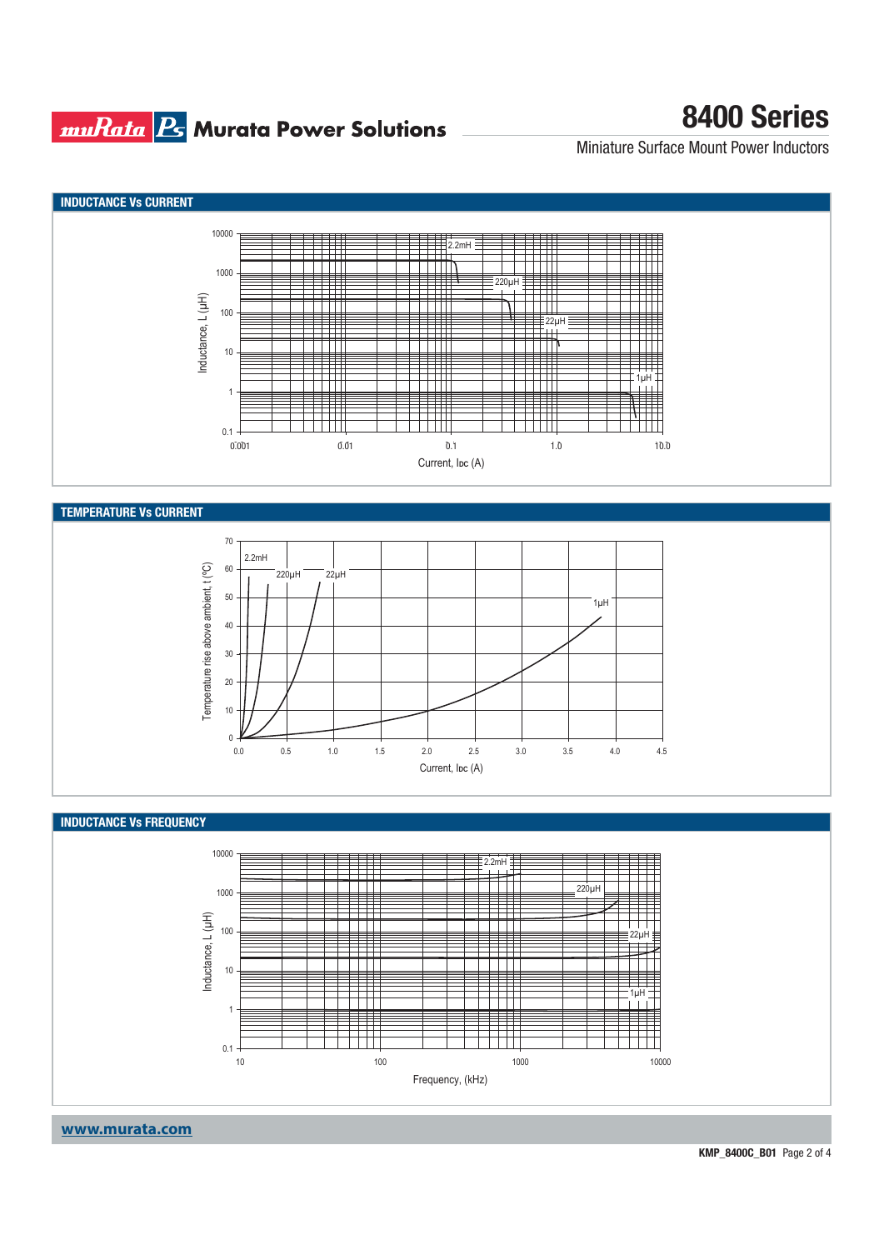## **muRata Ps** Murata Power Solutions

# **8400 Series**

Miniature Surface Mount Power Inductors



**KMP\_8400C\_B01** Page 2 of 4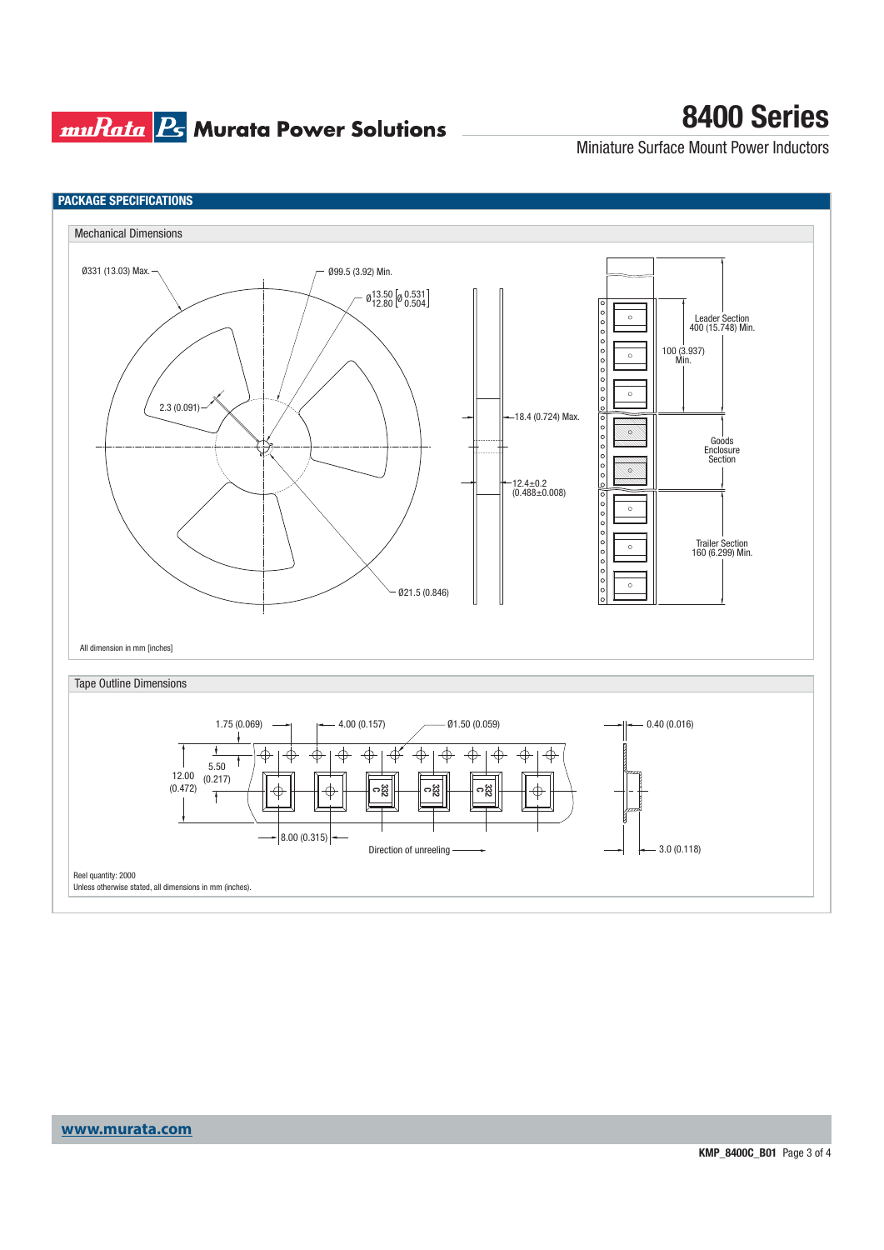## **muRata B** Murata Power Solutions

# **8400 Series**

Miniature Surface Mount Power Inductors